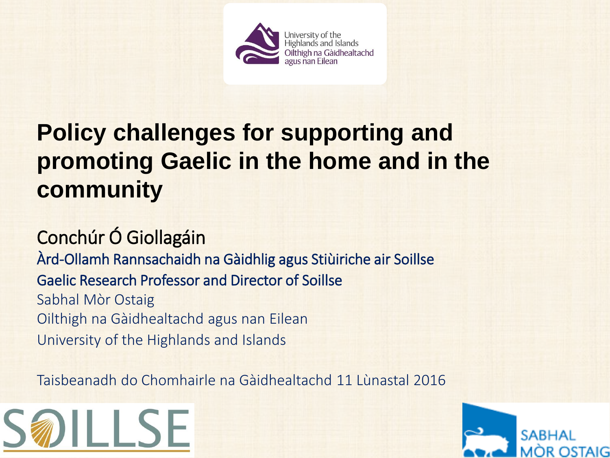

#### **Policy challenges for supporting and promoting Gaelic in the home and in the community**

#### Conchúr Ó Giollagáin

Àrd-Ollamh Rannsachaidh na Gàidhlig agus Stiùiriche air Soillse Gaelic Research Professor and Director of Soillse Sabhal Mòr Ostaig Oilthigh na Gàidhealtachd agus nan Eilean University of the Highlands and Islands

Taisbeanadh do Chomhairle na Gàidhealtachd 11 Lùnastal 2016



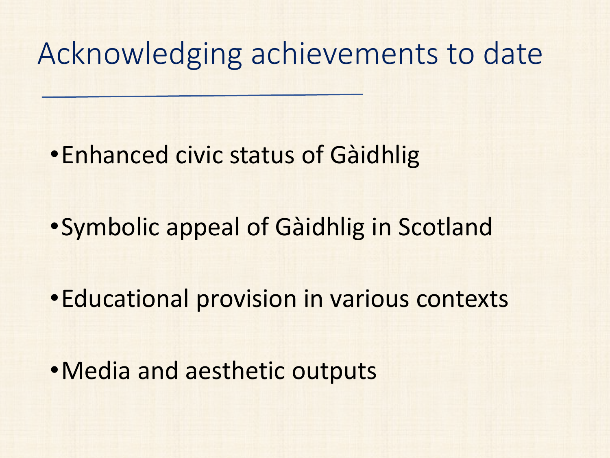# Acknowledging achievements to date

- •Enhanced civic status of Gàidhlig
- •Symbolic appeal of Gàidhlig in Scotland
- •Educational provision in various contexts
- •Media and aesthetic outputs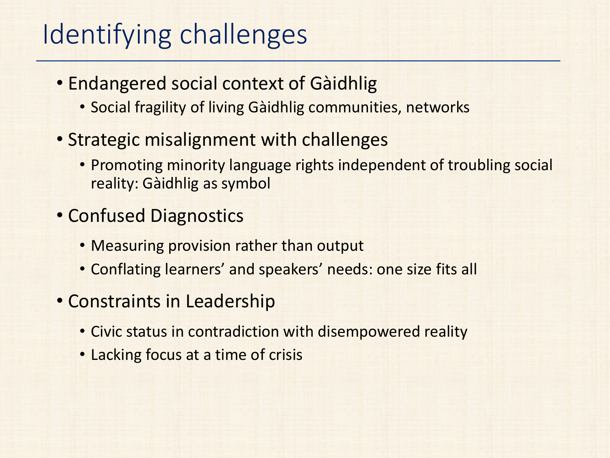## Identifying challenges

- Endangered social context of Gàidhlig
	- Social fragility of living Gàidhlig communities, networks
- Strategic misalignment with challenges
	- Promoting minority language rights independent of troubling social reality: Gàidhlig as symbol
- Confused Diagnostics
	- Measuring provision rather than output
	- Conflating learners' and speakers' needs: one size fits all
- Constraints in Leadership
	- Civic status in contradiction with disempowered reality
	- Lacking focus at a time of crisis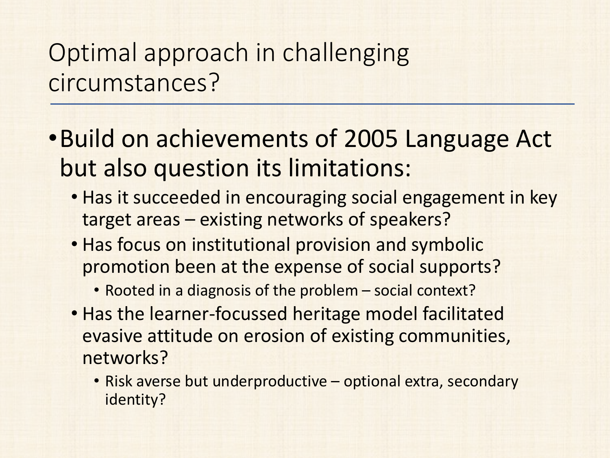### Optimal approach in challenging circumstances?

- •Build on achievements of 2005 Language Act but also question its limitations:
	- Has it succeeded in encouraging social engagement in key target areas – existing networks of speakers?
	- Has focus on institutional provision and symbolic promotion been at the expense of social supports?
		- Rooted in a diagnosis of the problem social context?
	- Has the learner-focussed heritage model facilitated evasive attitude on erosion of existing communities, networks?
		- Risk averse but underproductive optional extra, secondary identity?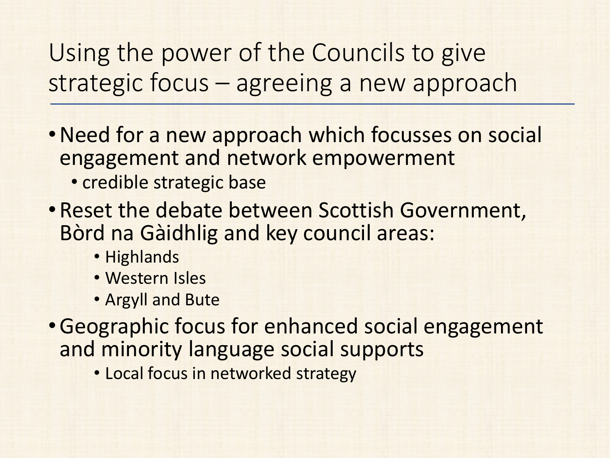Using the power of the Councils to give strategic focus – agreeing a new approach

- •Need for a new approach which focusses on social engagement and network empowerment • credible strategic base
- •Reset the debate between Scottish Government, Bòrd na Gàidhlig and key council areas:
	- Highlands
	- Western Isles
	- Argyll and Bute
- •Geographic focus for enhanced social engagement and minority language social supports
	- Local focus in networked strategy